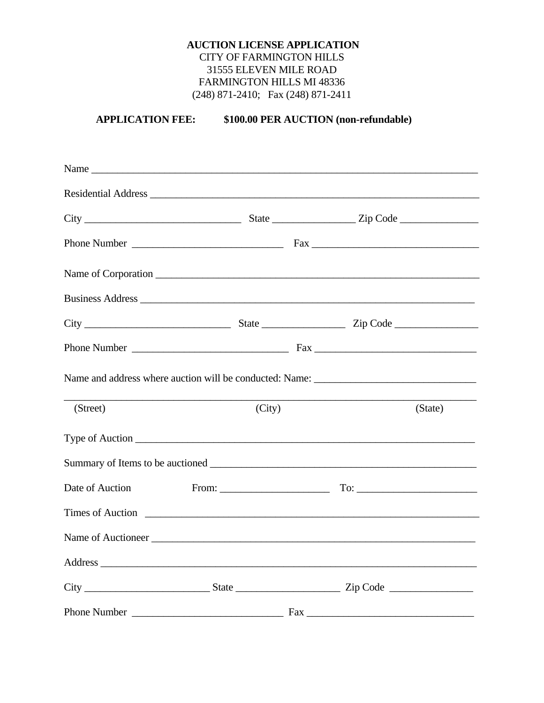## **AUCTION LICENSE APPLICATION CITY OF FARMINGTON HILLS** 31555 ELEVEN MILE ROAD FARMINGTON HILLS MI 48336  $(248)$  871-2410; Fax  $(248)$  871-2411

\$100.00 PER AUCTION (non-refundable) **APPLICATION FEE:** 

| Name                                                                                                                                                                                                                                 |                 |         |
|--------------------------------------------------------------------------------------------------------------------------------------------------------------------------------------------------------------------------------------|-----------------|---------|
| Residential Address Land and the Contract of the Contract of the Contract of the Contract of the Contract of the Contract of the Contract of the Contract of the Contract of the Contract of the Contract of the Contract of t       |                 |         |
|                                                                                                                                                                                                                                      |                 |         |
|                                                                                                                                                                                                                                      |                 |         |
|                                                                                                                                                                                                                                      |                 |         |
|                                                                                                                                                                                                                                      |                 |         |
|                                                                                                                                                                                                                                      |                 |         |
|                                                                                                                                                                                                                                      |                 |         |
| (Street)                                                                                                                                                                                                                             | (City)          | (State) |
| Type of Auction                                                                                                                                                                                                                      |                 |         |
| Summary of Items to be auctioned <u>example and the set of the set of the set of the set of the set of the set of the set of the set of the set of the set of the set of the set of the set of the set of the set of the set of </u> |                 |         |
| Date of Auction                                                                                                                                                                                                                      |                 |         |
| Times of Auction <u>contains and the set of Auction</u>                                                                                                                                                                              |                 |         |
|                                                                                                                                                                                                                                      |                 |         |
|                                                                                                                                                                                                                                      |                 |         |
|                                                                                                                                                                                                                                      |                 |         |
| Phone Number                                                                                                                                                                                                                         | $\mathbf{F}$ ax |         |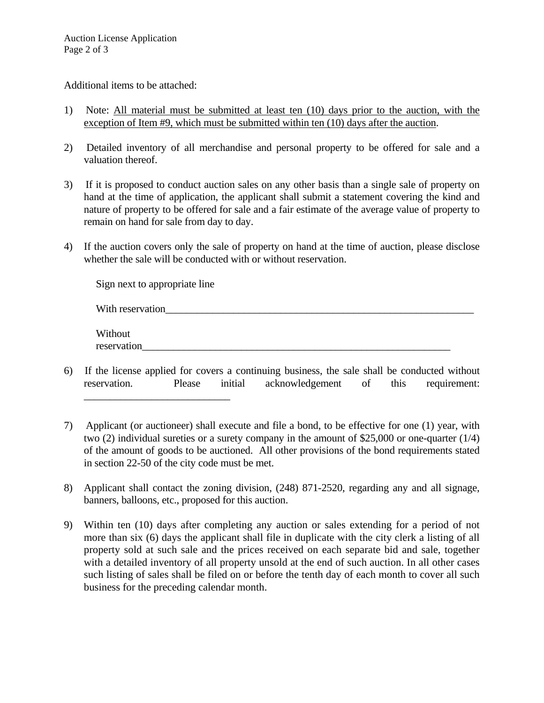Additional items to be attached:

- 1) Note: All material must be submitted at least ten (10) days prior to the auction, with the exception of Item #9, which must be submitted within ten (10) days after the auction.
- 2) Detailed inventory of all merchandise and personal property to be offered for sale and a valuation thereof.
- 3) If it is proposed to conduct auction sales on any other basis than a single sale of property on hand at the time of application, the applicant shall submit a statement covering the kind and nature of property to be offered for sale and a fair estimate of the average value of property to remain on hand for sale from day to day.
- 4) If the auction covers only the sale of property on hand at the time of auction, please disclose whether the sale will be conducted with or without reservation.

| Sign next to appropriate line |  |
|-------------------------------|--|
| With reservation              |  |
| Without<br>reservation        |  |

- 6) If the license applied for covers a continuing business, the sale shall be conducted without reservation. Please initial acknowledgement of this requirement: \_\_\_\_\_\_\_\_\_\_\_\_\_\_\_\_\_\_\_\_\_\_\_\_\_\_\_\_
- 7) Applicant (or auctioneer) shall execute and file a bond, to be effective for one (1) year, with two (2) individual sureties or a surety company in the amount of \$25,000 or one-quarter (1/4) of the amount of goods to be auctioned. All other provisions of the bond requirements stated in section 22-50 of the city code must be met.
- 8) Applicant shall contact the zoning division, (248) 871-2520, regarding any and all signage, banners, balloons, etc., proposed for this auction.
- 9) Within ten (10) days after completing any auction or sales extending for a period of not more than six (6) days the applicant shall file in duplicate with the city clerk a listing of all property sold at such sale and the prices received on each separate bid and sale, together with a detailed inventory of all property unsold at the end of such auction. In all other cases such listing of sales shall be filed on or before the tenth day of each month to cover all such business for the preceding calendar month.